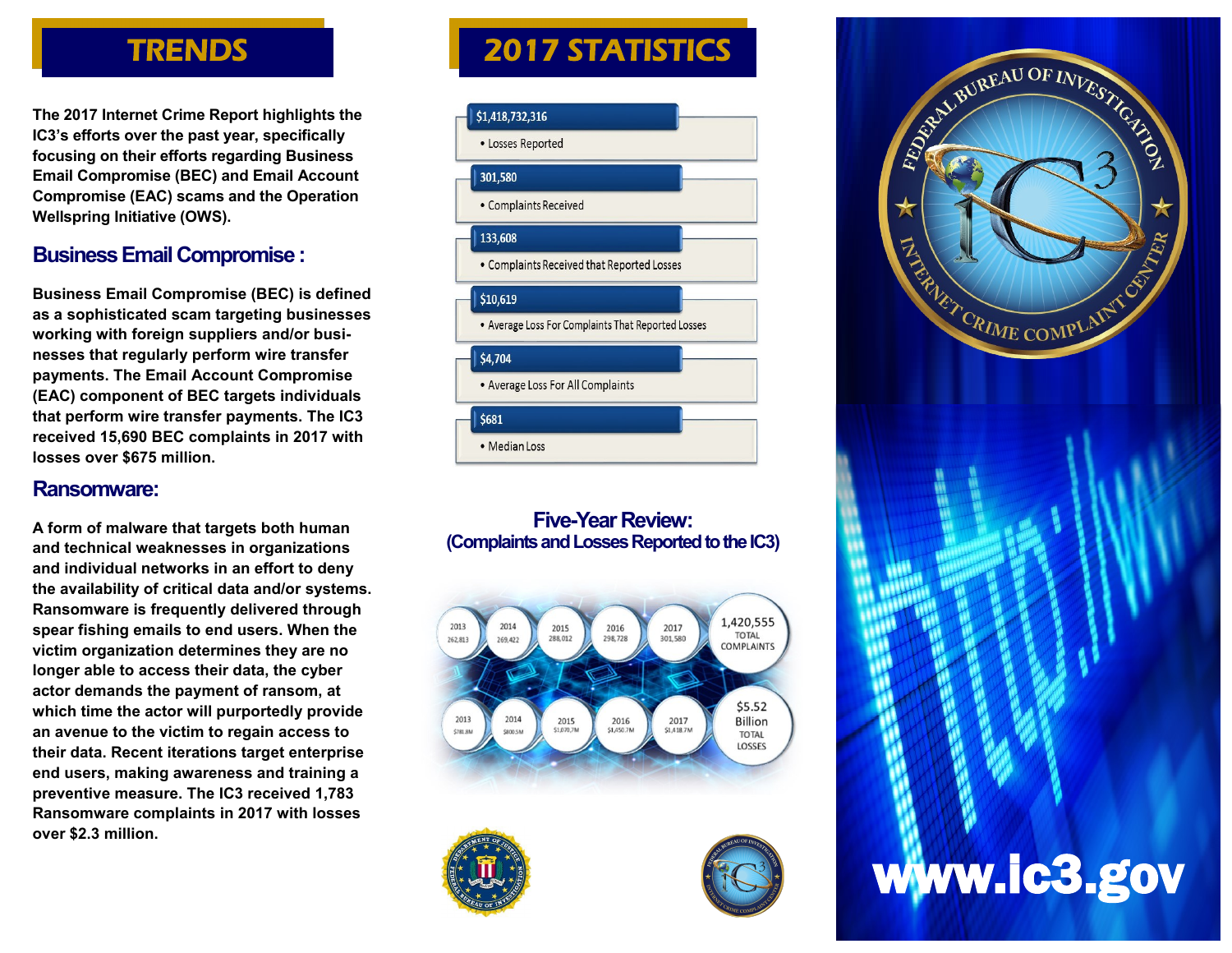# **TRENDS**

**The 2017 Internet Crime Report highlights the IC3's efforts over the past year, specifically focusing on their efforts regarding Business Email Compromise (BEC) and Email Account Compromise (EAC) scams and the Operation Wellspring Initiative (OWS).** 

## **Business Email Compromise :**

**Business Email Compromise (BEC) is defined as a sophisticated scam targeting businesses working with foreign suppliers and/or businesses that regularly perform wire transfer payments. The Email Account Compromise (EAC) component of BEC targets individuals that perform wire transfer payments. The IC3 received 15,690 BEC complaints in 2017 with losses over \$675 million.**

#### **Ransomware:**

**A form of malware that targets both human and technical weaknesses in organizations and individual networks in an effort to deny the availability of critical data and/or systems. Ransomware is frequently delivered through spear fishing emails to end users. When the victim organization determines they are no longer able to access their data, the cyber actor demands the payment of ransom, at which time the actor will purportedly provide an avenue to the victim to regain access to their data. Recent iterations target enterprise end users, making awareness and training a preventive measure. The IC3 received 1,783 Ransomware complaints in 2017 with losses over \$2.3 million.**

# 2017 STATISTICS



#### **Five-Year Review: (Complaints and Losses Reported to the IC3)**